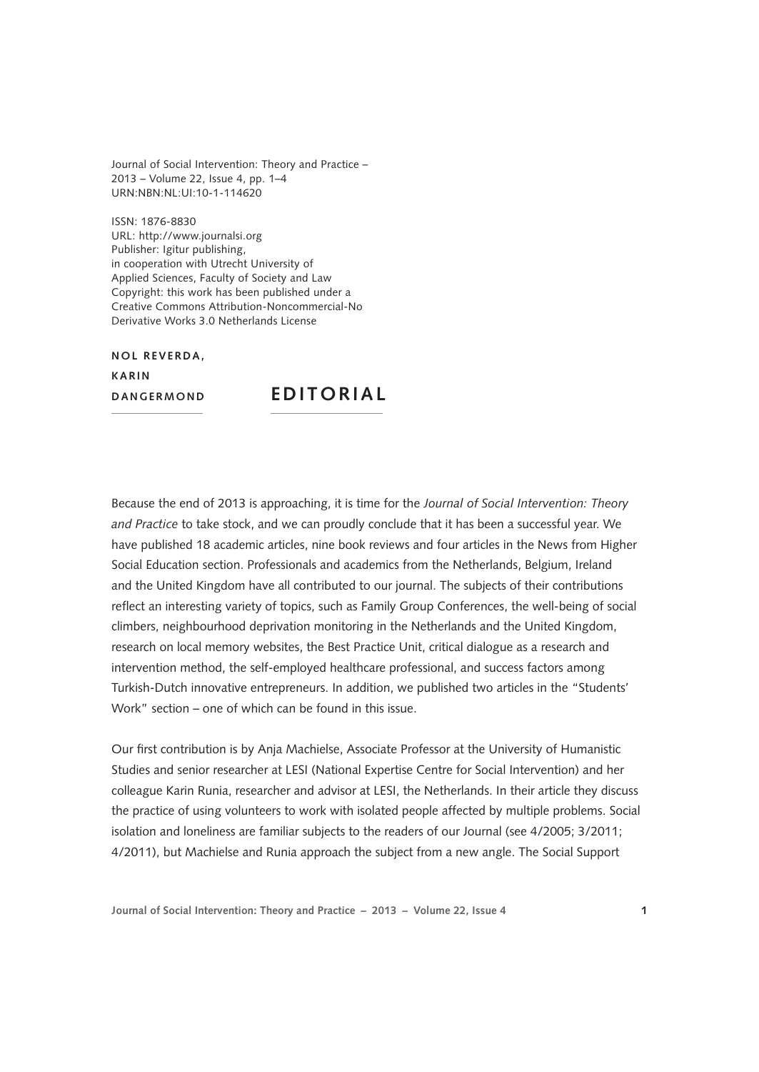Journal of Social Intervention: Theory and Practice – 2013 – Volume 22, Issue 4, pp. 1–4 URN:NBN:NL:UI:10-1-114620

ISSN: 1876-8830 [URL: http://www.journalsi.org](http://www.journalsi.org) Publisher: Igitur publishing, in cooperation with Utrecht University of Applied Sciences, Faculty of Society and Law Copyright: this work has been published under a Creative Commons Attribution-Noncommercial-No Derivative Works 3.0 Netherlands License

**NOL REVERDA. K arin**

**DANGERMOND EDITORIAL** 

Because the end of 2013 is approaching, it is time for the *Journal of Social Intervention: Theory and Practice* to take stock, and we can proudly conclude that it has been a successful year. We have published 18 academic articles, nine book reviews and four articles in the News from Higher Social Education section. Professionals and academics from the Netherlands, Belgium, Ireland and the United Kingdom have all contributed to our journal. The subjects of their contributions reflect an interesting variety of topics, such as Family Group Conferences, the well-being of social climbers, neighbourhood deprivation monitoring in the Netherlands and the United Kingdom, research on local memory websites, the Best Practice Unit, critical dialogue as a research and intervention method, the self-employed healthcare professional, and success factors among Turkish-Dutch innovative entrepreneurs. In addition, we published two articles in the "Students' Work" section – one of which can be found in this issue.

Our first contribution is by Anja Machielse, Associate Professor at the University of Humanistic Studies and senior researcher at LESI (National Expertise Centre for Social Intervention) and her colleague Karin Runia, researcher and advisor at LESI, the Netherlands. In their article they discuss the practice of using volunteers to work with isolated people affected by multiple problems. Social isolation and loneliness are familiar subjects to the readers of our Journal (see 4/2005; 3/2011; 4/2011), but Machielse and Runia approach the subject from a new angle. The Social Support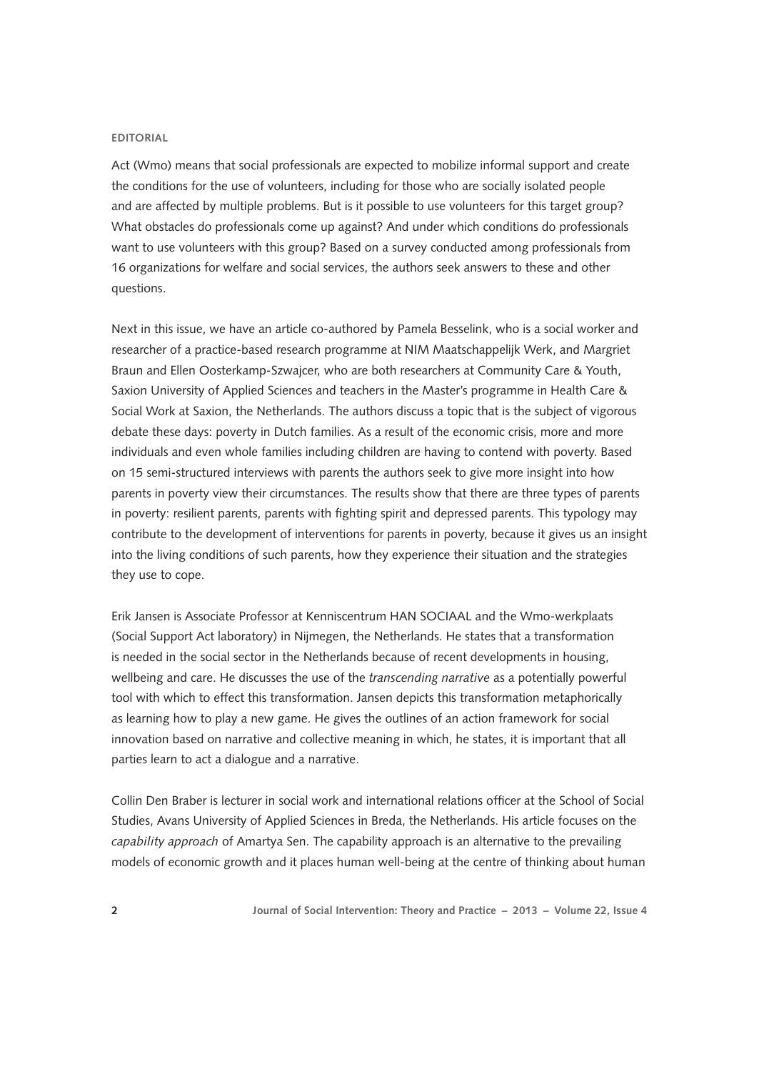## **EDITORIAL**

Act (Wmo) means that social professionals are expected to mobilize informal support and create the conditions for the use of volunteers, including for those who are socially isolated people and are affected by multiple problems. But is it possible to use volunteers for this target group? What obstacles do professionals come up against? And under which conditions do professionals want to use volunteers with this group? Based on a survey conducted among professionals from 16 organizations for welfare and social services, the authors seek answers to these and other questions.

Next in this issue, we have an article co-authored by Pamela Besselink, who is a social worker and researcher of a practice-based research programme at NIM Maatschappelijk Werk, and Margriet Braun and Ellen Oosterkamp-Szwajcer, who are both researchers at Community Care & Youth, Saxion University of Applied Sciences and teachers in the Master's programme in Health Care & Social Work at Saxion, the Netherlands. The authors discuss a topic that is the subject of vigorous debate these days: poverty in Dutch families. As a result of the economic crisis, more and more individuals and even whole families including children are having to contend with poverty. Based on 15 semi-structured interviews with parents the authors seek to give more insight into how parents in poverty view their circumstances. The results show that there are three types of parents in poverty: resilient parents, parents with fighting spirit and depressed parents. This typology may contribute to the development of interventions for parents in poverty, because it gives us an insight into the living conditions of such parents, how they experience their situation and the strategies they use to cope.

Erik Jansen is Associate Professor at Kenniscentrum HAN SOCIAAL and the Wmo-werkplaats (Social Support Act laboratory) in Nijmegen, the Netherlands. He states that a transformation is needed in the social sector in the Netherlands because of recent developments in housing, wellbeing and care. He discusses the use of the *transcending narrative* as a potentially powerful tool with which to effect this transformation. Jansen depicts this transformation metaphorically as learning how to play a new game. He gives the outlines of an action framework for social innovation based on narrative and collective meaning in which, he states, it is important that all parties learn to act a dialogue and a narrative.

Collin Den Braber is lecturer in social work and international relations officer at the School of Social Studies, Avans University of Applied Sciences in Breda, the Netherlands. His article focuses on the *capability approach* of Amartya Sen. The capability approach is an alternative to the prevailing models of economic growth and it places human well-being at the centre of thinking about human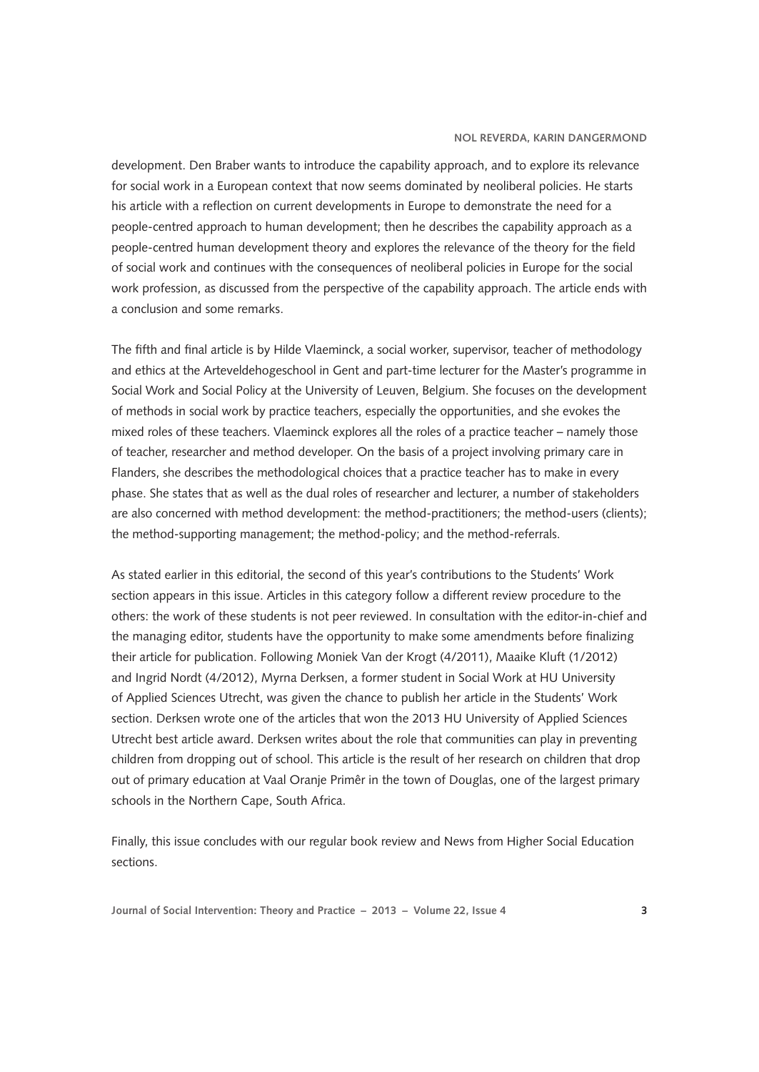## **Nol Reverda, Karin Dangermond**

development. Den Braber wants to introduce the capability approach, and to explore its relevance for social work in a European context that now seems dominated by neoliberal policies. He starts his article with a reflection on current developments in Europe to demonstrate the need for a people-centred approach to human development; then he describes the capability approach as a people-centred human development theory and explores the relevance of the theory for the field of social work and continues with the consequences of neoliberal policies in Europe for the social work profession, as discussed from the perspective of the capability approach. The article ends with a conclusion and some remarks.

The fifth and final article is by Hilde Vlaeminck, a social worker, supervisor, teacher of methodology and ethics at the Arteveldehogeschool in Gent and part-time lecturer for the Master's programme in Social Work and Social Policy at the University of Leuven, Belgium. She focuses on the development of methods in social work by practice teachers, especially the opportunities, and she evokes the mixed roles of these teachers. Vlaeminck explores all the roles of a practice teacher – namely those of teacher, researcher and method developer. On the basis of a project involving primary care in Flanders, she describes the methodological choices that a practice teacher has to make in every phase. She states that as well as the dual roles of researcher and lecturer, a number of stakeholders are also concerned with method development: the method-practitioners; the method-users (clients); the method-supporting management; the method-policy; and the method-referrals.

As stated earlier in this editorial, the second of this year's contributions to the Students' Work section appears in this issue. Articles in this category follow a different review procedure to the others: the work of these students is not peer reviewed. In consultation with the editor-in-chief and the managing editor, students have the opportunity to make some amendments before finalizing their article for publication. Following Moniek Van der Krogt (4/2011), Maaike Kluft (1/2012) and Ingrid Nordt (4/2012), Myrna Derksen, a former student in Social Work at HU University of Applied Sciences Utrecht, was given the chance to publish her article in the Students' Work section. Derksen wrote one of the articles that won the 2013 HU University of Applied Sciences Utrecht best article award. Derksen writes about the role that communities can play in preventing children from dropping out of school. This article is the result of her research on children that drop out of primary education at Vaal Oranje Primêr in the town of Douglas, one of the largest primary schools in the Northern Cape, South Africa.

Finally, this issue concludes with our regular book review and News from Higher Social Education sections.

**Journal of Social Intervention: Theory and Practice – 2013 – Volume 22, Issue 4 3**